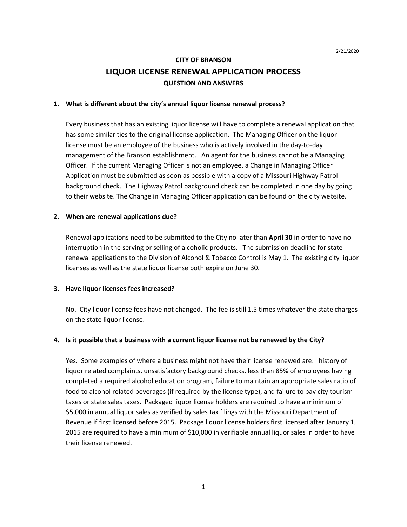# **CITY OF BRANSON LIQUOR LICENSE RENEWAL APPLICATION PROCESS QUESTION AND ANSWERS**

#### **1. What is different about the city's annual liquor license renewal process?**

Every business that has an existing liquor license will have to complete a renewal application that has some similarities to the original license application. The Managing Officer on the liquor license must be an employee of the business who is actively involved in the day-to-day management of the Branson establishment. An agent for the business cannot be a Managing Officer. If the current Managing Officer is not an employee, a Change in Managing Officer Application must be submitted as soon as possible with a copy of a Missouri Highway Patrol background check. The Highway Patrol background check can be completed in one day by going to their website. The Change in Managing Officer application can be found on the city website.

#### **2. When are renewal applications due?**

Renewal applications need to be submitted to the City no later than **April 30** in order to have no interruption in the serving or selling of alcoholic products. The submission deadline for state renewal applications to the Division of Alcohol & Tobacco Control is May 1. The existing city liquor licenses as well as the state liquor license both expire on June 30.

#### **3. Have liquor licenses fees increased?**

No. City liquor license fees have not changed. The fee is still 1.5 times whatever the state charges on the state liquor license.

#### **4. Is it possible that a business with a current liquor license not be renewed by the City?**

Yes. Some examples of where a business might not have their license renewed are: history of liquor related complaints, unsatisfactory background checks, less than 85% of employees having completed a required alcohol education program, failure to maintain an appropriate sales ratio of food to alcohol related beverages (if required by the license type), and failure to pay city tourism taxes or state sales taxes. Packaged liquor license holders are required to have a minimum of \$5,000 in annual liquor sales as verified by sales tax filings with the Missouri Department of Revenue if first licensed before 2015. Package liquor license holders first licensed after January 1, 2015 are required to have a minimum of \$10,000 in verifiable annual liquor sales in order to have their license renewed.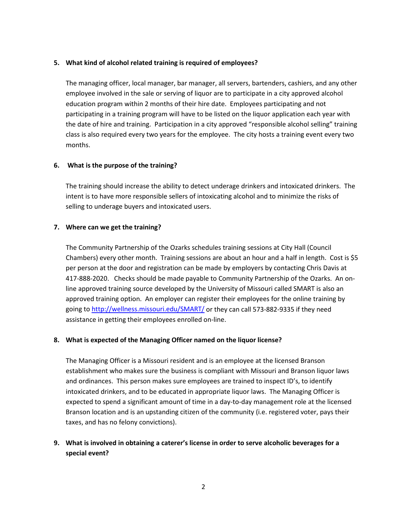#### **5. What kind of alcohol related training is required of employees?**

The managing officer, local manager, bar manager, all servers, bartenders, cashiers, and any other employee involved in the sale or serving of liquor are to participate in a city approved alcohol education program within 2 months of their hire date. Employees participating and not participating in a training program will have to be listed on the liquor application each year with the date of hire and training. Participation in a city approved "responsible alcohol selling" training class is also required every two years for the employee. The city hosts a training event every two months.

## **6. What is the purpose of the training?**

The training should increase the ability to detect underage drinkers and intoxicated drinkers. The intent is to have more responsible sellers of intoxicating alcohol and to minimize the risks of selling to underage buyers and intoxicated users.

## **7. Where can we get the training?**

The Community Partnership of the Ozarks schedules training sessions at City Hall (Council Chambers) every other month. Training sessions are about an hour and a half in length. Cost is \$5 per person at the door and registration can be made by employers by contacting Chris Davis at 417-888-2020. Checks should be made payable to Community Partnership of the Ozarks. An online approved training source developed by the University of Missouri called SMART is also an approved training option. An employer can register their employees for the online training by going to<http://wellness.missouri.edu/SMART/> or they can call 573-882-9335 if they need assistance in getting their employees enrolled on-line.

#### **8. What is expected of the Managing Officer named on the liquor license?**

The Managing Officer is a Missouri resident and is an employee at the licensed Branson establishment who makes sure the business is compliant with Missouri and Branson liquor laws and ordinances. This person makes sure employees are trained to inspect ID's, to identify intoxicated drinkers, and to be educated in appropriate liquor laws. The Managing Officer is expected to spend a significant amount of time in a day-to-day management role at the licensed Branson location and is an upstanding citizen of the community (i.e. registered voter, pays their taxes, and has no felony convictions).

# **9. What is involved in obtaining a caterer's license in order to serve alcoholic beverages for a special event?**